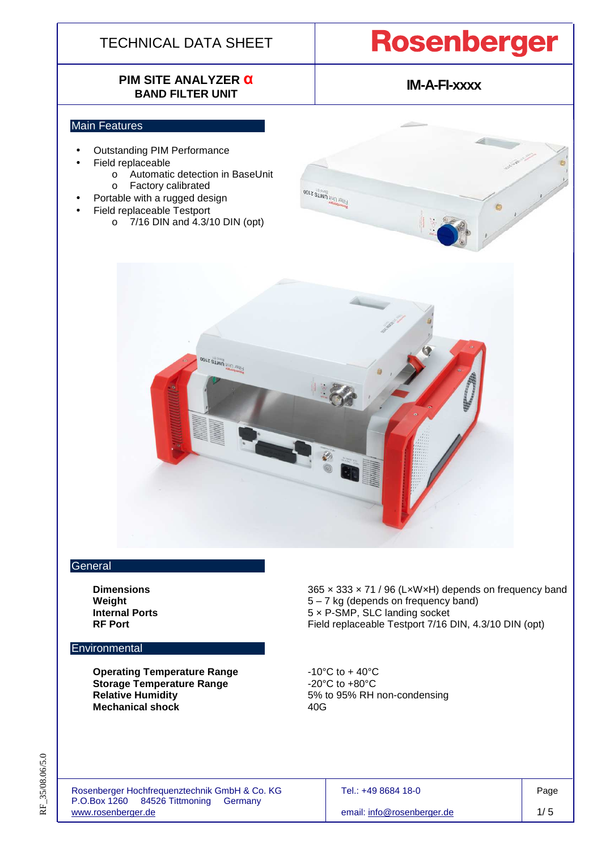# **PIM SITE ANALYZER α BAND FILTER UNIT**

# **Rosenberger**

**IM-A-FI-xxxx** 

### Main Features

- Outstanding PIM Performance
- Field replaceable
	- o Automatic detection in BaseUnit
		- o Factory calibrated
- Portable with a rugged design
- Field replaceable Testport
	- o 7/16 DIN and 4.3/10 DIN (opt)



**OOLZ SLWIN** BUTLISSES

### **General**

### **Environmental**

**Operating Temperature Range**  $-10^{\circ}$ C to  $+40^{\circ}$ C **Storage Temperature Range**  $-20^{\circ}$ C to  $+80^{\circ}$ C  **Relative Humidity** 5% to 95% RH non-condensing **Mechanical shock 40G** 

**Dimensions Dimensions 365 × 333 × 71 / 96 (LxWxH)** depends on frequency band  **Weight** 5 – 7 kg (depends on frequency band) **Internal Ports 1988 1989 12 Solution 12 State 12 State 12 State 13 State 13 State 13 State 13 State 13 State 13 State 13 State 13 State 13 State 13 State 13 State 13 State 13 State 13 State 13 State 13 State 13 Stat RF Port RF Port Field replaceable Testport 7/16 DIN, 4.3/10 DIN (opt)** 

Rosenberger Hochfrequenztechnik GmbH & Co. KG<br>
P.O.Box 1260 84526 Tittmoning Germany **Frankling** Processes and Processes and Processes and Processes and Processes P.O.Box  $1260$  84526 Tittmoning www.rosenberger.de email: info@rosenberger.de 1/ 5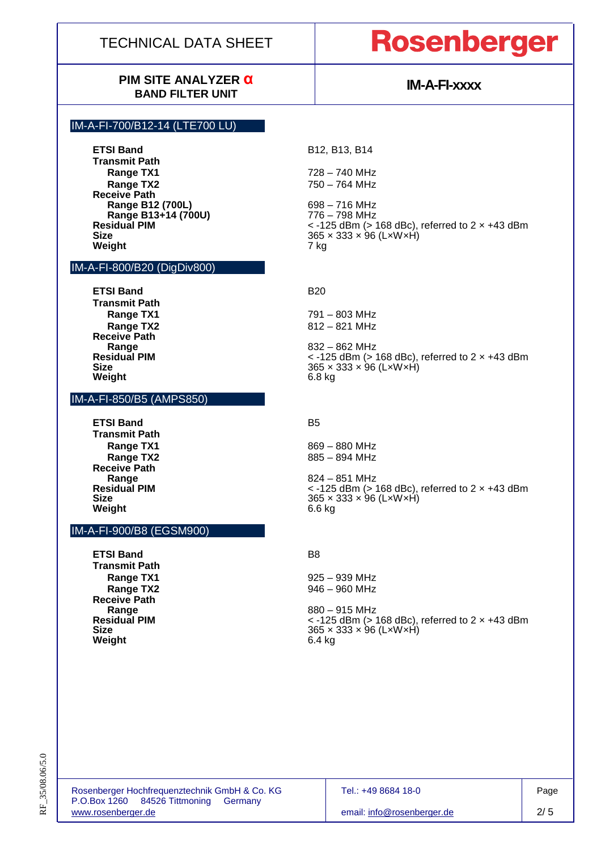# **Rosenberger**

## **PIM SITE ANALYZER α BAND FILTER UNIT**

# **IM-A-FI-xxxx**

### IM-A-FI-700/B12-14 (LTE700 LU)

**ETSI Band B12, B13, B14 Transmit Path Range TX1** 728 – 740 MHz **Range TX2** 750 – 764 MHz **Receive Path Range B12 (700L)** 698 – 716 MHz<br>**Range B13+14 (700U)** 776 – 798 MHz **Range B13+14 (700U)**<br>Residual PIM **Weight** 7 kg

#### IM-A-FI-800/B20 (DigDiv800)

**ETSI Band B20 Transmit Path Receive Path Range** 832 – 862 MHz **Weight** 6.8 kg

#### IM-A-FI-850/B5 (AMPS850)

**ETSI Band B5 Transmit Path Receive Path Weight** 6.6 kg

### IM-A-FI-900/B8 (EGSM900)

**ETSI Band** B8 **Transmit Path Receive Path Range** 880 – 915 MHz Weight

**Residual PIM**  $\le$  -125 dBm (> 168 dBc), referred to 2 x +43 dBm Size **Size** 365 × 333 × 96 (L×W×H)

**Range TX1** 791 – 803 MHz **Range TX2** 812 – 821 MHz

**Residual PIM CONSIDENT ACCORDING A RESIDENT ASSESSMENT AT A CONSIDENT A RESIDENT A RESIDENT A RESIDENT A RESIDENT A RESIDENT A RESIDENT A RESIDENT A RESIDENT A RESIDENT A RESIDENT A RESIDENT A RESIDENT A RESIDENT A RESI Size** 365 × 333 × 96 (L×W×H)

**Range TX1** 869 – 880 MHz **Range TX2** 885 – 894 MHz

**Range** 824 – 851 MHz **Residual PIM CONSIDENT ACCORDING A RESIDENT ACCORDING A RESIDENT ACCORDING A RESIDENT ACCORDING A RESIDENT ACCORDING A RESIDENT ACCORDING A RESIDENT ACCORDING A RESIDENT A RESIDENT ACCORDING A RESIDENT A RESIDENT A RESI Size** 365 × 333 × 96 (L×W×H)

**Range TX1** 925 – 939 MHz **Range TX2** 946 – 960 MHz

**Residual PIM** < -125 dBm (> 168 dBc), referred to 2 × +43 dBm **Size** 365 × 333 × 96 (L×W×H)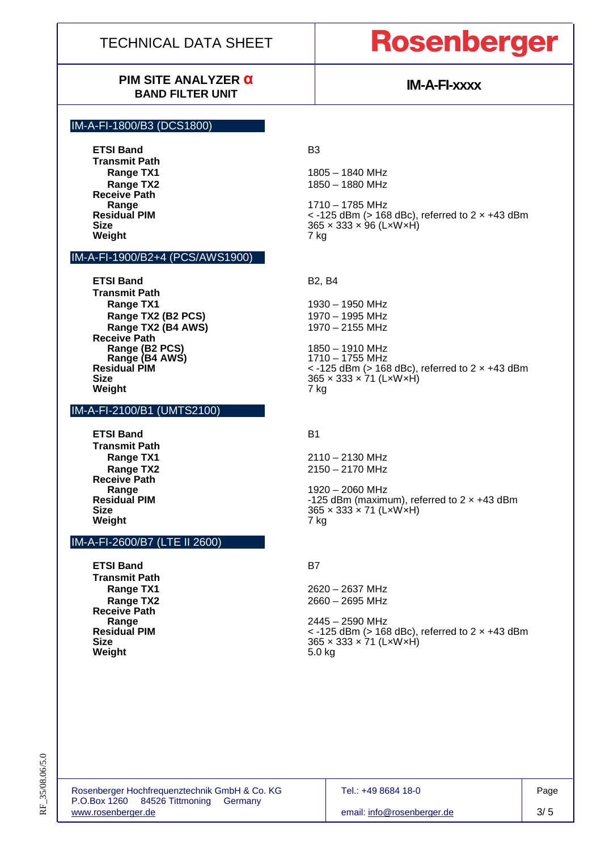# **Rosenberger**

## **PIM SITE ANALYZER α BAND FILTER UNIT**

# **IM-A-FI-xxxx**

### IM-A-FI-1800/B3 (DCS1800)

**ETSI Band B3 Transmit Path Receive Path Weight** 

### IM-A-FI-1900/B2+4 (PCS/AWS1900)

**ETSI Band B2, B4 Transmit Path Range TX1**<br>**Range TX2 (B2 PCS)** 1970 – 1995 MHz **Range TX2 (B2 PCS)** 1970 – 1995 MHz<br> **Range TX2 (B4 AWS)** 1970 – 2155 MHz **Range TX2 (B4 AWS) Receive Path Range (B2 PCS)** 1850 – 1910 MHz **Weight** 7 kg

### IM-A-FI-2100/B1 (UMTS2100)

**ETSI Band B1 Transmit Path Receive Path Weight** 

### IM-A-FI-2600/B7 (LTE II 2600)

**ETSI Band** B7 **Transmit Path Receive Path Weight** 5.0 kg

**Range TX1 1805 – 1840 MHz Range TX2** 1850 – 1880 MHz

**Range** 1710 – 1785 MHz **Residual PIM** < -125 dBm (> 168 dBc), referred to 2 × +43 dBm 365 × 333 × 96 (L×W×H)<br>7 kg

**Range (B4 AWS)** 1710 – 1755 MHz **Residual PIM** *C*  $\sim$  -125 dBm (> 168 dBc), referred to 2 x +43 dBm **Size** 365 × 333 × 71 (L×W×H)

**Range TX1** 2110 – 2130 MHz **Range TX2** 2150 – 2170 MHz

**Range** 1920 – 2060 MHz **Residual PIM -125 dBm (maximum), referred to 2 x +43 dBm**<br>**Size** 365 x 333 x 71 (LxWxH) **Size** 365 × 333 × 71 (L×W×H)

**Range TX1** 2620 – 2637 MHz **Range TX2** 2660 – 2695 MHz

**Range** 2445 – 2590 MHz **Residual PIM** < -125 dBm (> 168 dBc), referred to 2 × +43 dBm **Size** 365 × 333 × 71 (L×W×H)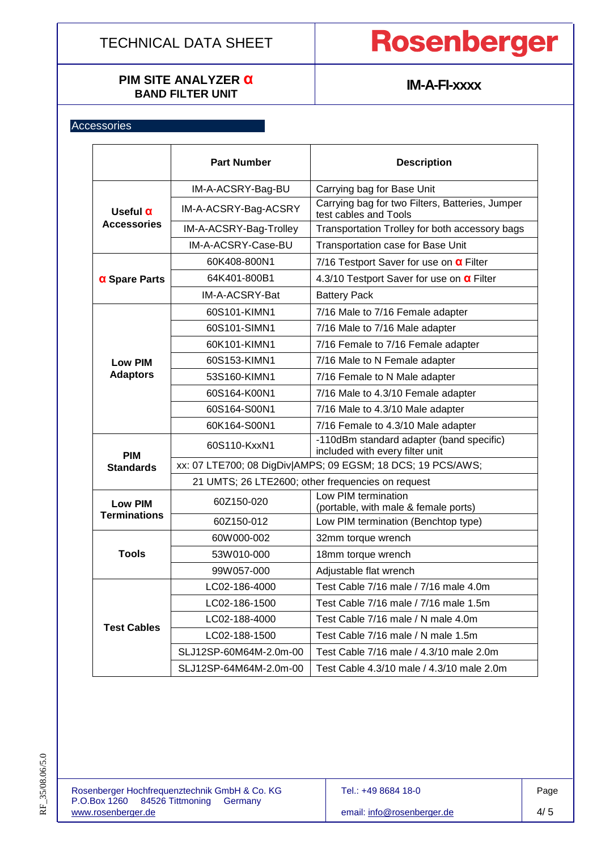## **PIM SITE ANALYZER α BAND FILTER UNIT**

# Rosenberger

# **IM-A-FI-xxxx**

## **Accessories**

|                                       | <b>Part Number</b>                                          | <b>Description</b>                                                            |  |  |  |  |
|---------------------------------------|-------------------------------------------------------------|-------------------------------------------------------------------------------|--|--|--|--|
|                                       |                                                             |                                                                               |  |  |  |  |
|                                       | IM-A-ACSRY-Bag-BU                                           | Carrying bag for Base Unit<br>Carrying bag for two Filters, Batteries, Jumper |  |  |  |  |
| Useful $\alpha$<br><b>Accessories</b> | IM-A-ACSRY-Bag-ACSRY                                        | test cables and Tools                                                         |  |  |  |  |
|                                       | IM-A-ACSRY-Bag-Trolley                                      | Transportation Trolley for both accessory bags                                |  |  |  |  |
|                                       | IM-A-ACSRY-Case-BU                                          | Transportation case for Base Unit                                             |  |  |  |  |
| $\alpha$ Spare Parts                  | 60K408-800N1                                                | 7/16 Testport Saver for use on $\alpha$ Filter                                |  |  |  |  |
|                                       | 64K401-800B1                                                | 4.3/10 Testport Saver for use on <b>a</b> Filter                              |  |  |  |  |
|                                       | IM-A-ACSRY-Bat                                              | <b>Battery Pack</b>                                                           |  |  |  |  |
|                                       | 60S101-KIMN1                                                | 7/16 Male to 7/16 Female adapter                                              |  |  |  |  |
|                                       | 60S101-SIMN1                                                | 7/16 Male to 7/16 Male adapter                                                |  |  |  |  |
|                                       | 60K101-KIMN1                                                | 7/16 Female to 7/16 Female adapter                                            |  |  |  |  |
| <b>Low PIM</b>                        | 60S153-KIMN1                                                | 7/16 Male to N Female adapter                                                 |  |  |  |  |
| <b>Adaptors</b>                       | 53S160-KIMN1                                                | 7/16 Female to N Male adapter                                                 |  |  |  |  |
|                                       | 60S164-K00N1                                                | 7/16 Male to 4.3/10 Female adapter                                            |  |  |  |  |
|                                       | 60S164-S00N1                                                | 7/16 Male to 4.3/10 Male adapter                                              |  |  |  |  |
|                                       | 60K164-S00N1                                                | 7/16 Female to 4.3/10 Male adapter                                            |  |  |  |  |
| <b>PIM</b>                            | 60S110-KxxN1                                                | -110dBm standard adapter (band specific)<br>included with every filter unit   |  |  |  |  |
| <b>Standards</b>                      | xx: 07 LTE700; 08 DigDiv AMPS; 09 EGSM; 18 DCS; 19 PCS/AWS; |                                                                               |  |  |  |  |
|                                       | 21 UMTS; 26 LTE2600; other frequencies on request           |                                                                               |  |  |  |  |
| <b>Low PIM</b><br><b>Terminations</b> | 60Z150-020                                                  | Low PIM termination<br>(portable, with male & female ports)                   |  |  |  |  |
|                                       | 60Z150-012                                                  | Low PIM termination (Benchtop type)                                           |  |  |  |  |
| <b>Tools</b>                          | 60W000-002                                                  | 32mm torque wrench                                                            |  |  |  |  |
|                                       | 53W010-000                                                  | 18mm torque wrench                                                            |  |  |  |  |
|                                       | 99W057-000                                                  | Adjustable flat wrench                                                        |  |  |  |  |
| <b>Test Cables</b>                    | LC02-186-4000                                               | Test Cable 7/16 male / 7/16 male 4.0m                                         |  |  |  |  |
|                                       | LC02-186-1500                                               | Test Cable 7/16 male / 7/16 male 1.5m                                         |  |  |  |  |
|                                       | LC02-188-4000                                               | Test Cable 7/16 male / N male 4.0m                                            |  |  |  |  |
|                                       | LC02-188-1500                                               | Test Cable 7/16 male / N male 1.5m                                            |  |  |  |  |
|                                       | SLJ12SP-60M64M-2.0m-00                                      | Test Cable 7/16 male / 4.3/10 male 2.0m                                       |  |  |  |  |
|                                       | SLJ12SP-64M64M-2.0m-00                                      | Test Cable 4.3/10 male / 4.3/10 male 2.0m                                     |  |  |  |  |